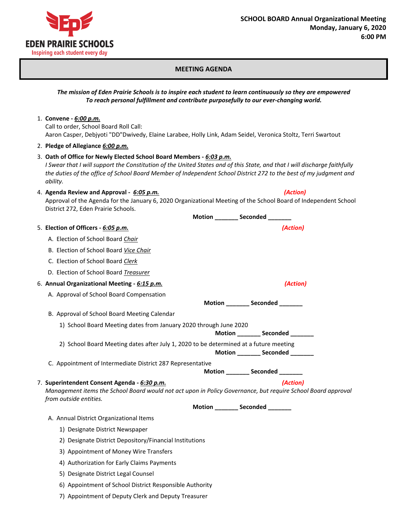

## **MEETING AGENDA**

## *The mission of Eden Prairie Schools is to inspire each student to learn continuously so they are empowered To reach personal fulfillment and contribute purposefully to our ever-changing world.*

## 1. **Convene -** *6:00 p.m.* Call to order, School Board Roll Call: Aaron Casper, Debjyoti "DD"Dwivedy, Elaine Larabee, Holly Link, Adam Seidel, Veronica Stoltz, Terri Swartout

- 2. **Pledge of Allegiance** *6:00 p.m.*
- 3. **Oath of Office for Newly Elected School Board Members -** *6:03 p.m. I Swear that I will support the Constitution of the United States and of this State, and that I will discharge faithfully the duties of the office of School Board Member of Independent School District 272 to the best of my judgment and ability.*
- 4. **Agenda Review and Approval -** *6:05 p.m. (Action)*

Approval of the Agenda for the January 6, 2020 Organizational Meeting of the School Board of Independent School District 272, Eden Prairie Schools. **Motion \_\_\_\_\_\_\_ Seconded \_\_\_\_\_\_\_**

|                                                                                                                                                                                                    | 1                                  |
|----------------------------------------------------------------------------------------------------------------------------------------------------------------------------------------------------|------------------------------------|
| 5. Election of Officers - 6:05 p.m.                                                                                                                                                                | (Action)                           |
| A. Election of School Board Chair                                                                                                                                                                  |                                    |
| B. Election of School Board Vice Chair                                                                                                                                                             |                                    |
| C. Election of School Board Clerk                                                                                                                                                                  |                                    |
| D. Election of School Board Treasurer                                                                                                                                                              |                                    |
| 6. Annual Organizational Meeting - 6:15 p.m.                                                                                                                                                       | (Action)                           |
| A. Approval of School Board Compensation                                                                                                                                                           | Motion _________ Seconded ________ |
| B. Approval of School Board Meeting Calendar                                                                                                                                                       |                                    |
| 1) School Board Meeting dates from January 2020 through June 2020<br>Motion _________ Seconded _______                                                                                             |                                    |
| 2) School Board Meeting dates after July 1, 2020 to be determined at a future meeting                                                                                                              | Motion ________ Seconded _______   |
| C. Appointment of Intermediate District 287 Representative                                                                                                                                         | Motion _________ Seconded ________ |
| 7. Superintendent Consent Agenda - 6:30 p.m.<br>(Action)<br>Management items the School Board would not act upon in Policy Governance, but require School Board approval<br>from outside entities. |                                    |
|                                                                                                                                                                                                    | Motion Seconded                    |
| A. Annual District Organizational Items                                                                                                                                                            |                                    |
| 1) Designate District Newspaper                                                                                                                                                                    |                                    |
| 2) Designate District Depository/Financial Institutions                                                                                                                                            |                                    |
| 3) Appointment of Money Wire Transfers                                                                                                                                                             |                                    |
| 4) Authorization for Early Claims Payments                                                                                                                                                         |                                    |
| 5) Designate District Legal Counsel                                                                                                                                                                |                                    |
| 6) Appointment of School District Responsible Authority                                                                                                                                            |                                    |

7) Appointment of Deputy Clerk and Deputy Treasurer